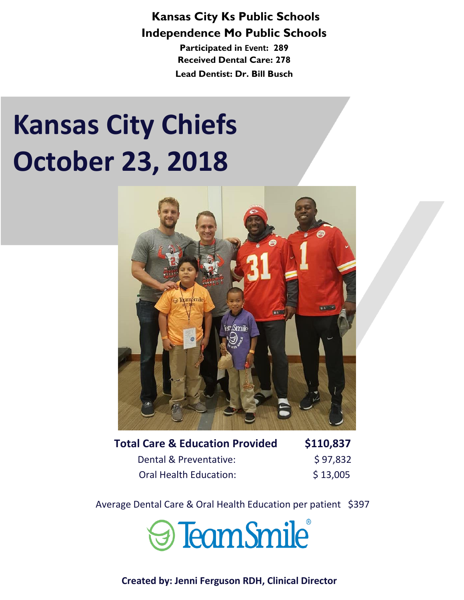### **Kansas City Ks Public Schools Independence Mo Public Schools**

**Participated in Event: 289 Received Dental Care: 278 Lead Dentist: Dr. Bill Busch**

# **Kansas City Chiefs October 23, 2018**



| <b>Total Care &amp; Education Provided</b> | \$110,837 |
|--------------------------------------------|-----------|
| Dental & Preventative:                     | \$97,832  |
| <b>Oral Health Education:</b>              | \$13,005  |

Average Dental Care & Oral Health Education per patient \$397

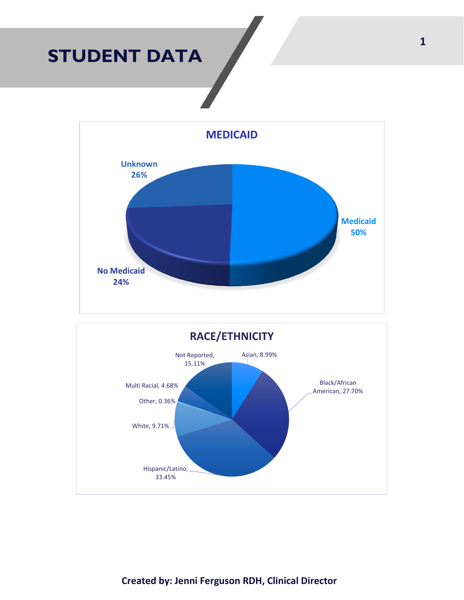## **STUDENT DATA**



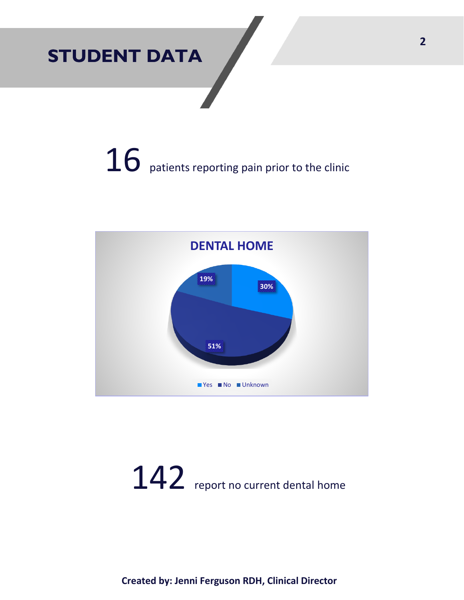# **STUDENT DATA**

# $16$  patients reporting pain prior to the clinic



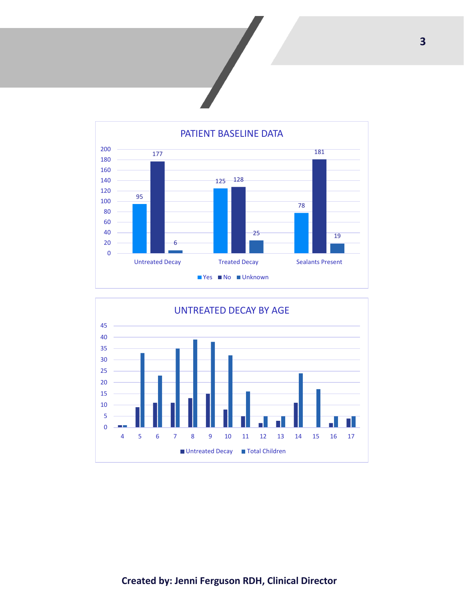



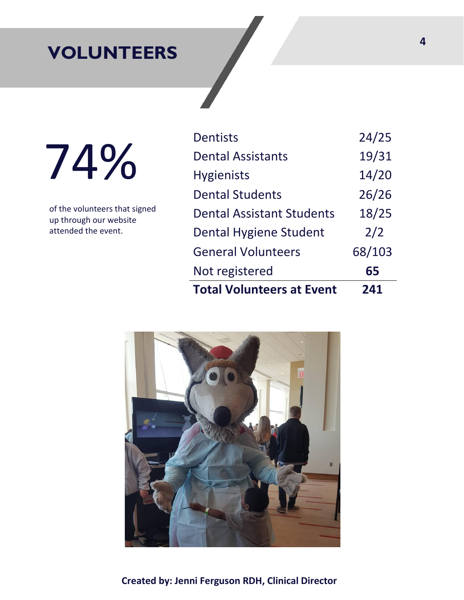## **VOLUNTEERS**

74%

of the volunteers that signed up through our website attended the event.

| <b>Total Volunteers at Event</b> | 241    |
|----------------------------------|--------|
| Not registered                   | 65     |
| <b>General Volunteers</b>        | 68/103 |
| Dental Hygiene Student           | 2/2    |
| <b>Dental Assistant Students</b> | 18/25  |
| <b>Dental Students</b>           | 26/26  |
| <b>Hygienists</b>                | 14/20  |
| <b>Dental Assistants</b>         | 19/31  |
| <b>Dentists</b>                  | 24/25  |

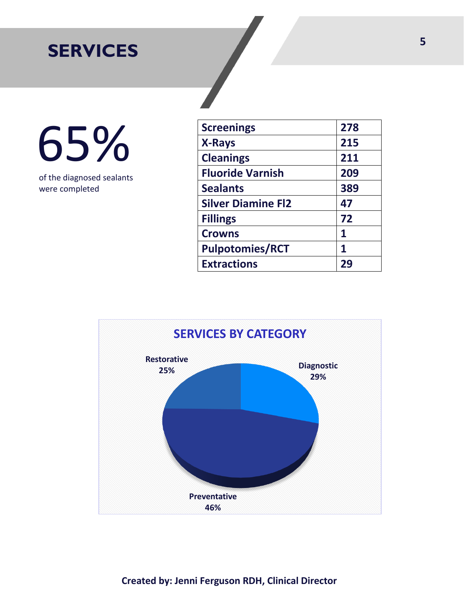# **SERVICES**

65%

of the diagnosed sealants were completed

| <b>Screenings</b>         | 278 |
|---------------------------|-----|
| <b>X-Rays</b>             | 215 |
| <b>Cleanings</b>          | 211 |
| <b>Fluoride Varnish</b>   | 209 |
| <b>Sealants</b>           | 389 |
| <b>Silver Diamine Fl2</b> | 47  |
| <b>Fillings</b>           | 72  |
| <b>Crowns</b>             | 1   |
| <b>Pulpotomies/RCT</b>    | 1   |
| <b>Extractions</b>        | 29  |

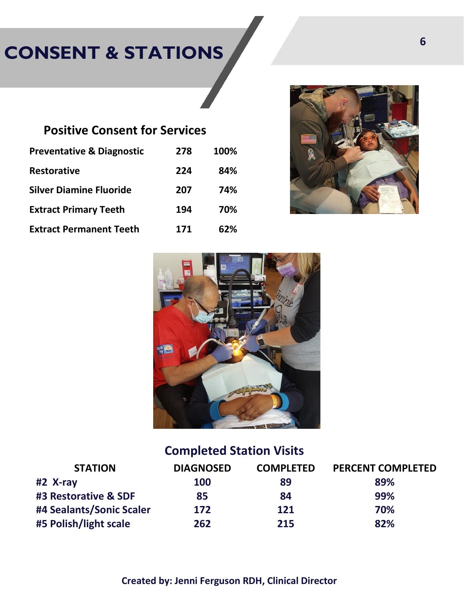# **CONSENT & STATIONS**

### **Positive Consent for Services**

| <b>Preventative &amp; Diagnostic</b> | 278 | 100% |
|--------------------------------------|-----|------|
| <b>Restorative</b>                   | 224 | 84%  |
| <b>Silver Diamine Fluoride</b>       | 207 | 74%  |
| <b>Extract Primary Teeth</b>         | 194 | 70%  |
| <b>Extract Permanent Teeth</b>       | 171 | 62%  |





## **Completed Station Visits**

| <b>STATION</b>           | <b>DIAGNOSED</b> | <b>COMPLETED</b> | <b>PERCENT COMPLETED</b> |
|--------------------------|------------------|------------------|--------------------------|
| #2 X-ray                 | 100              | 89               | 89%                      |
| #3 Restorative & SDF     | 85               | 84               | 99%                      |
| #4 Sealants/Sonic Scaler | 172              | 121              | 70%                      |
| #5 Polish/light scale    | 262              | 215              | 82%                      |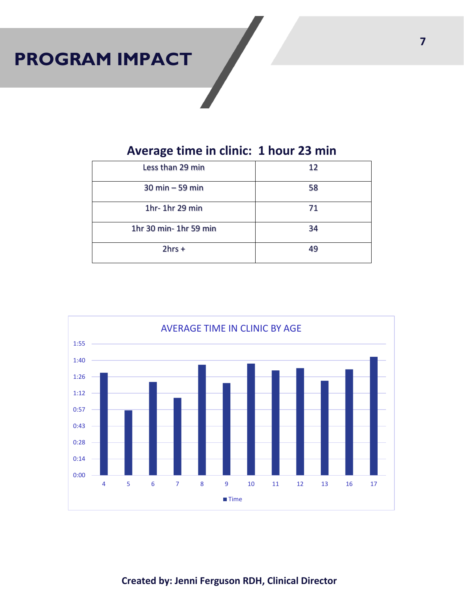# **PROGRAM IMPACT**

## **Average time in clinic: 1 hour 23 min**

| Less than 29 min      | 12 |
|-----------------------|----|
| $30$ min $-59$ min    | 58 |
| 1hr-1hr 29 min        | 71 |
| 1hr 30 min-1hr 59 min | 34 |
| $2hrs +$              | 49 |